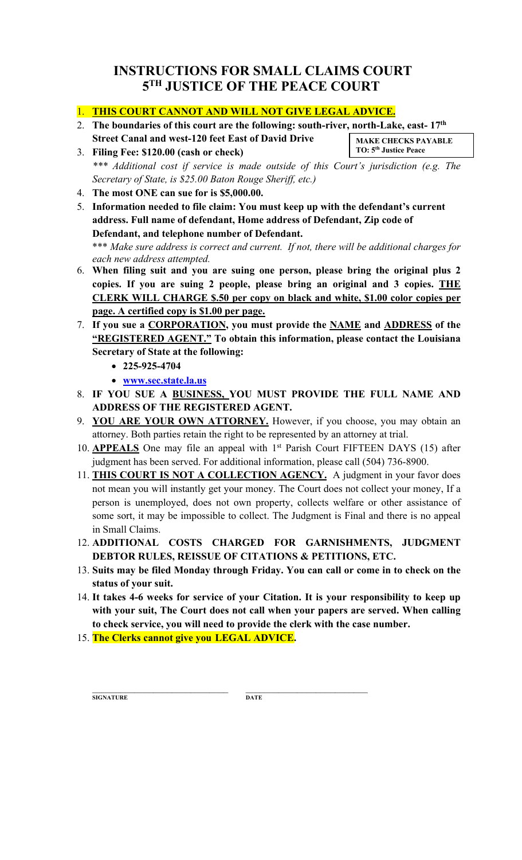## **INSTRUCTIONS FOR SMALL CLAIMS COURT 5TH JUSTICE OF THE PEACE COURT**

## 1. **THIS COURT CANNOT AND WILL NOT GIVE LEGAL ADVICE.**

- 2. **The boundaries of this court are the following: south-river, north-Lake, east- 17th Street Canal and west-120 feet East of David Drive MAKE CHECKS PAYABLE**
- 3. **Filing Fee: \$120.00 (cash or check)** \*\*\* Additional cost if service is made outside of this Court's jurisdiction (e.g. The *Secretary of State, is \$25.00 Baton Rouge Sheriff, etc.)* **TO: 5th Justice Peace**
- 4. **The most ONE can sue for is \$5,000.00.**
- 5. **Information needed to file claim: You must keep up with the defendant's current address. Full name of defendant, Home address of Defendant, Zip code of Defendant, and telephone number of Defendant.** \*\*\* Make sure address is correct and current. If not, there will be additional charges for *each new address attempted.*
- 6. **When filing suit and you are suing one person, please bring the original plus 2 copies. If you are suing 2 people, please bring an original and 3 copies. THE CLERK WILL CHARGE \$.50 per copy on black and white, \$1.00 color copies per page. A certified copy is \$1.00 per page.**
- 7. **If you sue a CORPORATION, you must provide the NAME and ADDRESS of the "REGISTERED AGENT." To obtain this information, please contact the Louisiana Secretary of State at the following:**
	- **225-925-4704**
	- **www.sec.state.la.us**
- 8. **IF YOU SUE A BUSINESS, YOU MUST PROVIDE THE FULL NAME AND ADDRESS OF THE REGISTERED AGENT.**
- 9. **YOU ARE YOUR OWN ATTORNEY.** However, if you choose, you may obtain an attorney. Both parties retain the right to be represented by an attorney at trial.
- 10. **APPEALS** One may file an appeal with 1st Parish Court FIFTEEN DAYS (15) after judgment has been served. For additional information, please call (504) 736-8900.
- 11. **THIS COURT IS NOT A COLLECTION AGENCY.** A judgment in your favor does not mean you will instantly get your money. The Court does not collect your money, If a person is unemployed, does not own property, collects welfare or other assistance of some sort, it may be impossible to collect. The Judgment is Final and there is no appeal in Small Claims.
- 12. **ADDITIONAL COSTS CHARGED FOR GARNISHMENTS, JUDGMENT DEBTOR RULES, REISSUE OF CITATIONS & PETITIONS, ETC.**
- 13. **Suits may be filed Monday through Friday. You can call or come in to check on the status of your suit.**
- 14. **It takes 4-6 weeks for service of your Citation. It is your responsibility to keep up with your suit, The Court does not call when your papers are served. When calling to check service, you will need to provide the clerk with the case number.**
- 15. **The Clerks cannot give you LEGAL ADVICE.**

 $\mathcal{L}_\text{max}$  and the contract of the contract of the contract of the contract of the contract of the contract of the contract of the contract of the contract of the contract of the contract of the contract of the contrac **SIGNATURE DATE**